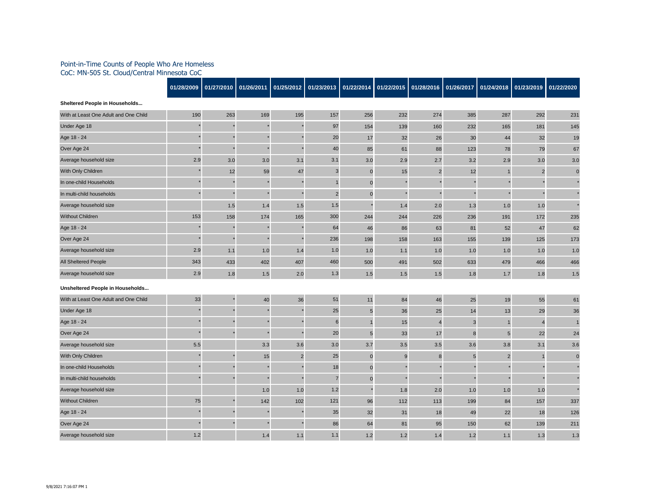## Point-in-Time Counts of People Who Are Homeless CoC: MN-505 St. Cloud/Central Minnesota CoC

|                                       | 01/28/2009 | 01/27/2010 | 01/26/2011 | 01/25/2012              | 01/23/2013     | 01/22/2014     | 01/22/2015 | 01/28/2016     | 01/26/2017     | 01/24/2018     | 01/23/2019     | 01/22/2020   |
|---------------------------------------|------------|------------|------------|-------------------------|----------------|----------------|------------|----------------|----------------|----------------|----------------|--------------|
| Sheltered People in Households        |            |            |            |                         |                |                |            |                |                |                |                |              |
| With at Least One Adult and One Child | 190        | 263        | 169        | 195                     | 157            | 256            | 232        | 274            | 385            | 287            | 292            | 231          |
| Under Age 18                          |            |            |            |                         | 97             | 154            | 139        | 160            | 232            | 165            | 181            | 145          |
| Age 18 - 24                           |            |            |            |                         | 20             | 17             | 32         | 26             | 30             | 44             | 32             | 19           |
| Over Age 24                           |            |            |            |                         | 40             | 85             | 61         | 88             | 123            | 78             | 79             | 67           |
| Average household size                | 2.9        | 3.0        | 3.0        | 3.1                     | 3.1            | 3.0            | 2.9        | 2.7            | 3.2            | 2.9            | 3.0            | 3.0          |
| With Only Children                    |            | 12         | 59         | 47                      | 3              | $\pmb{0}$      | 15         | $\overline{2}$ | 12             | $\mathbf{1}$   | $\overline{2}$ | $\Omega$     |
| In one-child Households               |            |            |            |                         | $\overline{1}$ | $\pmb{0}$      |            |                |                |                |                |              |
| In multi-child households             |            |            |            |                         | $\overline{2}$ | $\pmb{0}$      |            |                |                |                |                |              |
| Average household size                |            | 1.5        | 1.4        | 1.5                     | 1.5            |                | 1.4        | 2.0            | 1.3            | 1.0            | 1.0            |              |
| <b>Without Children</b>               | 153        | 158        | 174        | 165                     | 300            | 244            | 244        | 226            | 236            | 191            | 172            | 235          |
| Age 18 - 24                           |            |            |            |                         | 64             | 46             | 86         | 63             | 81             | 52             | 47             | 62           |
| Over Age 24                           |            |            |            |                         | 236            | 198            | 158        | 163            | 155            | 139            | 125            | 173          |
| Average household size                | 2.9        | 1.1        | 1.0        | 1.4                     | 1.0            | 1.0            | 1.1        | 1.0            | 1.0            | 1.0            | 1.0            | 1.0          |
| All Sheltered People                  | 343        | 433        | 402        | 407                     | 460            | 500            | 491        | 502            | 633            | 479            | 466            | 466          |
| Average household size                | 2.9        | 1.8        | 1.5        | 2.0                     | $1.3$          | 1.5            | 1.5        | 1.5            | 1.8            | 1.7            | 1.8            | 1.5          |
| Unsheltered People in Households      |            |            |            |                         |                |                |            |                |                |                |                |              |
| With at Least One Adult and One Child | 33         |            | 40         | 36                      | 51             | 11             | 84         | 46             | 25             | 19             | 55             | 61           |
| Under Age 18                          |            |            |            |                         | 25             | $\overline{5}$ | 36         | 25             | 14             | 13             | 29             | 36           |
| Age 18 - 24                           |            |            |            |                         | 6              | $\mathbf{1}$   | 15         | $\overline{4}$ | $\mathbf{3}$   | $\mathbf{1}$   | $\overline{4}$ |              |
| Over Age 24                           |            |            |            |                         | 20             | $\overline{5}$ | 33         | 17             | $\bf 8$        | 5              | 22             | 24           |
| Average household size                | 5.5        |            | 3.3        | 3.6                     | 3.0            | 3.7            | 3.5        | 3.5            | 3.6            | 3.8            | 3.1            | 3.6          |
| With Only Children                    |            |            | 15         | $\overline{\mathbf{c}}$ | 25             | $\pmb{0}$      | $9\,$      | $\bf 8$        | $5\phantom{1}$ | $\overline{c}$ |                | $\mathbf{0}$ |
| In one-child Households               |            |            |            |                         | 18             | $\mathbf 0$    |            |                |                |                |                |              |
| In multi-child households             |            |            |            |                         | $\overline{7}$ | $\pmb{0}$      |            |                |                |                |                |              |
| Average household size                |            |            | $1.0$      | 1.0                     | 1.2            |                | 1.8        | 2.0            | 1.0            | 1.0            | 1.0            |              |
| <b>Without Children</b>               | 75         |            | 142        | 102                     | 121            | 96             | 112        | 113            | 199            | 84             | 157            | 337          |
| Age 18 - 24                           |            |            |            |                         | 35             | 32             | 31         | 18             | 49             | 22             | 18             | 126          |
| Over Age 24                           |            |            |            |                         | 86             | 64             | 81         | 95             | 150            | 62             | 139            | 211          |
| Average household size                | 1.2        |            | 1.4        | 1.1                     | 1.1            | 1.2            | 1.2        | 1.4            | 1.2            | 1.1            | 1.3            | 1.3          |